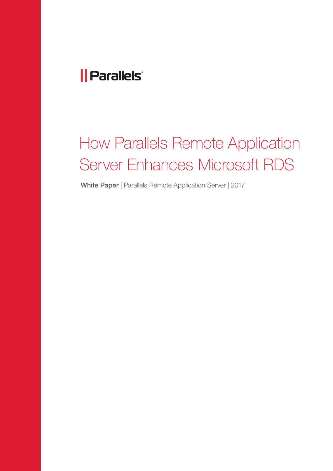### *|| Parallels*

# How Parallels Remote Application Server Enhances Microsoft RDS

White Paper | Parallels Remote Application Server | 2017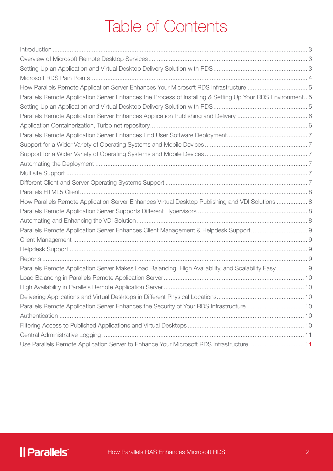## Table of Contents

| How Parallels Remote Application Server Enhances Your Microsoft RDS Infrastructure  5                      |  |
|------------------------------------------------------------------------------------------------------------|--|
| Parallels Remote Application Server Enhances the Process of Installing & Setting Up Your RDS Environment 5 |  |
|                                                                                                            |  |
|                                                                                                            |  |
|                                                                                                            |  |
|                                                                                                            |  |
|                                                                                                            |  |
|                                                                                                            |  |
|                                                                                                            |  |
|                                                                                                            |  |
|                                                                                                            |  |
|                                                                                                            |  |
| How Parallels Remote Application Server Enhances Virtual Desktop Publishing and VDI Solutions  8           |  |
|                                                                                                            |  |
|                                                                                                            |  |
|                                                                                                            |  |
|                                                                                                            |  |
|                                                                                                            |  |
|                                                                                                            |  |
| Parallels Remote Application Server Makes Load Balancing, High Availability, and Scalability Easy  9       |  |
|                                                                                                            |  |
|                                                                                                            |  |
|                                                                                                            |  |
| Parallels Remote Application Server Enhances the Security of Your RDS Infrastructure 10                    |  |
|                                                                                                            |  |
|                                                                                                            |  |
|                                                                                                            |  |
| Use Parallels Remote Application Server to Enhance Your Microsoft RDS Infrastructure  11                   |  |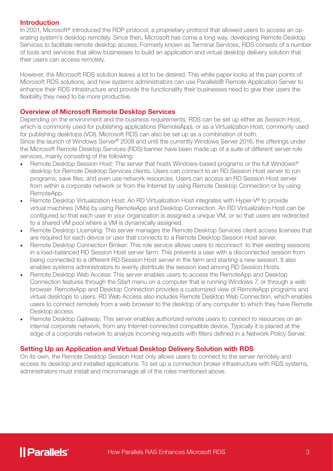#### Introduction

In 2001, Microsoft<sup>®</sup> introduced the RDP protocol, a proprietary protocol that allowed users to access an operating system's desktop remotely. Since then, Microsoft has come a long way, developing Remote Desktop Services to facilitate remote desktop access. Formerly known as Terminal Services, RDS consists of a number of tools and services that allow businesses to build an application and virtual desktop delivery solution that their users can access remotely.

However, the Microsoft RDS solution leaves a lot to be desired. This white paper looks at the pain points of Microsoft RDS solutions, and how systems administrators can use Parallels® Remote Application Server to enhance their RDS infrastructure and provide the functionality their businesses need to give their users the flexibility they need to be more productive.

#### Overview of Microsoft Remote Desktop Services

Depending on the environment and the business requirements, RDS can be set up either as Session Host, which is commonly used for publishing applications (RemoteApp), or as a Virtualization Host, commonly used for publishing desktops (VDI). Microsoft RDS can also be set up as a combination of both. Since the launch of Windows Server® 2008 and until the currently Windows Server 2016, the offerings under

the Microsoft Remote Desktop Services (RDS) banner have been made up of a suite of different server role services, mainly consisting of the following:

- Remote Desktop Session Host: The server that hosts Windows-based programs or the full Windows® desktop for Remote Desktop Services clients. Users can connect to an RD Session Host server to run programs, save files, and even use network resources. Users can access an RD Session Host server from within a corporate network or from the Internet by using Remote Desktop Connection or by using RemoteApp.
- Remote Desktop Virtualization Host: An RD Virtualization Host integrates with Hyper-V® to provide virtual machines (VMs) by using RemoteApp and Desktop Connection. An RD Virtualization Host can be configured so that each user in your organization is assigned a unique VM, or so that users are redirected to a shared VM pool where a VM is dynamically assigned.
- Remote Desktop Licensing: This server manages the Remote Desktop Services client access licenses that are required for each device or user that connects to a Remote Desktop Session Host server.
- Remote Desktop Connection Broker: This role service allows users to reconnect to their existing sessions in a load-balanced RD Session Host server farm. This prevents a user with a disconnected session from being connected to a different RD Session Host server in the farm and starting a new session. It also enables systems administrators to evenly distribute the session load among RD Session Hosts.
- Remote Desktop Web Access: This server enables users to access the RemoteApp and Desktop Connection features through the Start menu on a computer that is running Windows 7, or through a web browser. RemoteApp and Desktop Connection provides a customized view of RemoteApp programs and virtual desktops to users. RD Web Access also includes Remote Desktop Web Connection, which enables users to connect remotely from a web browser to the desktop of any computer to which they have Remote Desktop access
- Remote Desktop Gateway: This server enables authorized remote users to connect to resources on an internal corporate network, from any Internet-connected compatible device. Typically it is placed at the edge of a corporate network to analyze incoming requests with filters defined in a Network Policy Server.

#### Setting Up an Application and Virtual Desktop Delivery Solution with RDS

On its own, the Remote Desktop Session Host only allows users to connect to the server remotely and access its desktop and installed applications. To set up a connection broker infrastructure with RDS systems, administrators must install and micromanage all of the roles mentioned above.

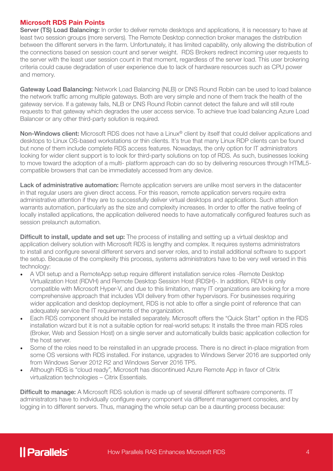#### Microsoft RDS Pain Points

Server (TS) Load Balancing: In order to deliver remote desktops and applications, it is necessary to have at least two session groups (more servers). The Remote Desktop connection broker manages the distribution between the different servers in the farm. Unfortunately, it has limited capability, only allowing the distribution of the connections based on session count and server weight. RDS Brokers redirect incoming user requests to the server with the least user session count in that moment, regardless of the server load. This user brokering criteria could cause degradation of user experience due to lack of hardware resources such as CPU power and memory.

Gateway Load Balancing: Network Load Balancing (NLB) or DNS Round Robin can be used to load balance the network traffic among multiple gateways. Both are very simple and none of them track the health of the gateway service. If a gateway fails, NLB or DNS Round Robin cannot detect the failure and will still route requests to that gateway which degrades the user access service. To achieve true load balancing Azure Load Balancer or any other third-party solution is required.

Non-Windows client: Microsoft RDS does not have a Linux® client by itself that could deliver applications and desktops to Linux OS-based workstations or thin clients. It's true that many Linux RDP clients can be found but none of them include complete RDS access features. Nowadays, the only option for IT administrators looking for wider client support is to look for third-party solutions on top of RDS. As such, businesses looking to move toward the adoption of a multi- platform approach can do so by delivering resources through HTML5 compatible browsers that can be immediately accessed from any device.

Lack of administrative automation: Remote application servers are unlike most servers in the datacenter in that regular users are given direct access. For this reason, remote application servers require extra administrative attention if they are to successfully deliver virtual desktops and applications. Such attention warrants automation, particularly as the size and complexity increases. In order to offer the native feeling of locally installed applications, the application delivered needs to have automatically configured features such as session prelaunch automation.

Difficult to install, update and set up: The process of installing and setting up a virtual desktop and application delivery solution with Microsoft RDS is lengthy and complex. It requires systems administrators to install and configure several different servers and server roles, and to install additional software to support the setup. Because of the complexity this process, systems administrators have to be very well versed in this technology:

- A VDI setup and a RemoteApp setup require different installation service roles -Remote Desktop Virtualization Host (RDVH) and Remote Desktop Session Host (RDSH)-. In addition, RDVH is only compatible with Microsoft Hyper-V, and due to this limitation, many IT organizations are looking for a more comprehensive approach that includes VDI delivery from other hypervisors. For businesses requiring wider application and desktop deployment, RDS is not able to offer a single point of reference that can adequately service the IT requirements of the organization.
- Each RDS component should be installed separately. Microsoft offers the "Quick Start" option in the RDS installation wizard but it is not a suitable option for real-world setups: It installs the three main RDS roles (Broker, Web and Session Host) on a single server and automatically builds basic application collection for the host server.
- Some of the roles need to be reinstalled in an upgrade process. There is no direct in-place migration from some OS versions with RDS installed. For instance, upgrades to Windows Server 2016 are supported only from Windows Server 2012 R2 and Windows Server 2016 TP5.
- Although RDS is "cloud ready", Microsoft has discontinued Azure Remote App in favor of Citrix virtualization technologies – Citrix Essentials.

Difficult to manage: A Microsoft RDS solution is made up of several different software components. IT administrators have to individually configure every component via different management consoles, and by logging in to different servers. Thus, managing the whole setup can be a daunting process because:

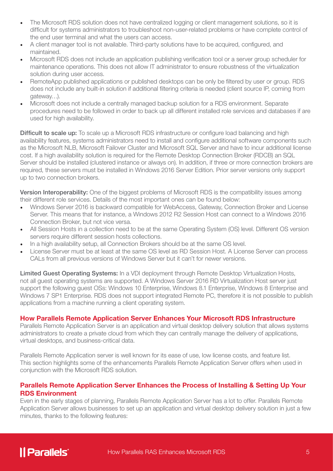- The Microsoft RDS solution does not have centralized logging or client management solutions, so it is difficult for systems administrators to troubleshoot non-user-related problems or have complete control of the end user terminal and what the users can access.
- A client manager tool is not available. Third-party solutions have to be acquired, configured, and maintained.
- Microsoft RDS does not include an application publishing verification tool or a server group scheduler for maintenance operations. This does not allow IT administrator to ensure robustness of the virtualization solution during user access.
- RemoteApp published applications or published desktops can be only be filtered by user or group. RDS does not include any built-in solution if additional filtering criteria is needed (client source IP, coming from gateway…).
- Microsoft does not include a centrally managed backup solution for a RDS environment. Separate procedures need to be followed in order to back up all different installed role services and databases if are used for high availability.

**Difficult to scale up:** To scale up a Microsoft RDS infrastructure or configure load balancing and high availability features, systems administrators need to install and configure additional software components such as the Microsoft NLB, Microsoft Failover Cluster and Microsoft SQL Server and have to incur additional license cost. If a high availability solution is required for the Remote Desktop Connection Broker (RDCB) an SQL Server should be installed (clustered instance or always on). In addition, if three or more connection brokers are required, these servers must be installed in Windows 2016 Server Edition. Prior server versions only support up to two connection brokers.

Version Interoperability: One of the biggest problems of Microsoft RDS is the compatibility issues among their different role services. Details of the most important ones can be found below:

- Windows Server 2016 is backward compatible for WebAccess, Gateway, Connection Broker and License Server. This means that for instance, a Windows 2012 R2 Session Host can connect to a Windows 2016 Connection Broker, but not vice versa.
- All Session Hosts in a collection need to be at the same Operating System (OS) level. Different OS version servers require different session hosts collections.
- In a high availability setup, all Connection Brokers should be at the same OS level.
- License Server must be at least at the same OS level as RD Session Host. A License Server can process CALs from all previous versions of Windows Server but it can't for newer versions.

Limited Guest Operating Systems: In a VDI deployment through Remote Desktop Virtualization Hosts, not all guest operating systems are supported. A Windows Server 2016 RD Virtualization Host server just support the following guest OSs: Windows 10 Enterprise, Windows 8.1 Enterprise, Windows 8 Enterprise and Windows 7 SP1 Enterprise. RDS does not support integrated Remote PC, therefore it is not possible to publish applications from a machine running a client operating system.

#### How Parallels Remote Application Server Enhances Your Microsoft RDS Infrastructure

Parallels Remote Application Server is an application and virtual desktop delivery solution that allows systems administrators to create a private cloud from which they can centrally manage the delivery of applications, virtual desktops, and business-critical data.

Parallels Remote Application server is well known for its ease of use, low license costs, and feature list. This section highlights some of the enhancements Parallels Remote Application Server offers when used in conjunction with the Microsoft RDS solution.

#### Parallels Remote Application Server Enhances the Process of Installing & Setting Up Your RDS Environment

Even in the early stages of planning, Parallels Remote Application Server has a lot to offer. Parallels Remote Application Server allows businesses to set up an application and virtual desktop delivery solution in just a few minutes, thanks to the following features:

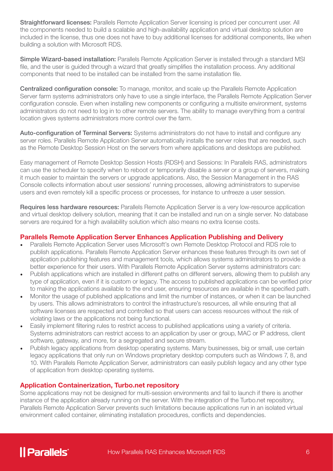Straightforward licenses: Parallels Remote Application Server licensing is priced per concurrent user. All the components needed to build a scalable and high-availability application and virtual desktop solution are included in the license, thus one does not have to buy additional licenses for additional components, like when building a solution with Microsoft RDS.

Simple Wizard-based installation: Parallels Remote Application Server is installed through a standard MSI file, and the user is guided through a wizard that greatly simplifies the installation process. Any additional components that need to be installed can be installed from the same installation file.

Centralized configuration console: To manage, monitor, and scale up the Parallels Remote Application Server farm systems administrators only have to use a single interface, the Parallels Remote Application Server configuration console. Even when installing new components or configuring a multisite environment, systems administrators do not need to log in to other remote servers. The ability to manage everything from a central location gives systems administrators more control over the farm.

Auto-configuration of Terminal Servers: Systems administrators do not have to install and configure any server roles. Parallels Remote Application Server automatically installs the server roles that are needed, such as the Remote Desktop Session Host on the servers from where applications and desktops are published.

Easy management of Remote Desktop Session Hosts (RDSH) and Sessions: In Parallels RAS, administrators can use the scheduler to specify when to reboot or temporarily disable a server or a group of servers, making it much easier to maintain the servers or upgrade applications. Also, the Session Management in the RAS Console collects information about user sessions' running processes, allowing administrators to supervise users and even remotely kill a specific process or processes, for instance to unfreeze a user session.

Requires less hardware resources: Parallels Remote Application Server is a very low-resource application and virtual desktop delivery solution, meaning that it can be installed and run on a single server. No database servers are required for a high availability solution which also means no extra license costs.

#### Parallels Remote Application Server Enhances Application Publishing and Delivery

- Parallels Remote Application Server uses Microsoft's own Remote Desktop Protocol and RDS role to publish applications. Parallels Remote Application Server enhances these features through its own set of application publishing features and management tools, which allows systems administrators to provide a better experience for their users. With Parallels Remote Application Server systems administrators can:
- Publish applications which are installed in different paths on different servers, allowing them to publish any type of application, even if it is custom or legacy. The access to published applications can be verified prior to making the applications available to the end user, ensuring resources are available in the specified path.
- Monitor the usage of published applications and limit the number of instances, or when it can be launched by users. This allows administrators to control the infrastructure's resources, all while ensuring that all software licenses are respected and controlled so that users can access resources without the risk of violating laws or the applications not being functional.
- Easily implement filtering rules to restrict access to published applications using a variety of criteria. Systems administrators can restrict access to an application by user or group, MAC or IP address, client software, gateway, and more, for a segregated and secure stream.
- Publish legacy applications from desktop operating systems. Many businesses, big or small, use certain legacy applications that only run on Windows proprietary desktop computers such as Windows 7, 8, and 10. With Parallels Remote Application Server, administrators can easily publish legacy and any other type of application from desktop operating systems.

#### Application Containerization, Turbo.net repository

Some applications may not be designed for multi-session environments and fail to launch if there is another instance of the application already running on the server. With the integration of the Turbo.net repository, Parallels Remote Application Server prevents such limitations because applications run in an isolated virtual environment called container, eliminating installation procedures, conflicts and dependencies.

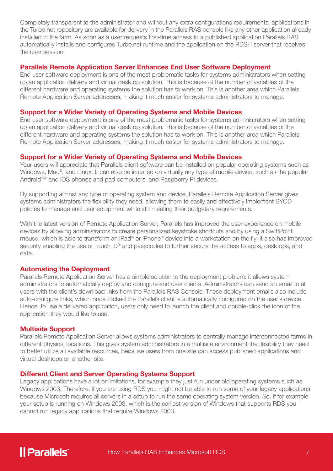Completely transparent to the administrator and without any extra configurations requirements, applications in the Turbo.net repository are available for delivery in the Parallels RAS console like any other application already installed in the farm. As soon as a user requests first-time access to a published application Parallels RAS automatically installs and configures Turbo.net runtime and the application on the RDSH server that receives the user session.

#### Parallels Remote Application Server Enhances End User Software Deployment

End user software deployment is one of the most problematic tasks for systems administrators when setting up an application delivery and virtual desktop solution. This is because of the number of variables of the different hardware and operating systems the solution has to work on. This is another area which Parallels Remote Application Server addresses, making it much easier for systems administrators to manage.

#### Support for a Wider Variety of Operating Systems and Mobile Devices

End user software deployment is one of the most problematic tasks for systems administrators when setting up an application delivery and virtual desktop solution. This is because of the number of variables of the different hardware and operating systems the solution has to work on. This is another area which Parallels Remote Application Server addresses, making it much easier for systems administrators to manage.

#### Support for a Wider Variety of Operating Systems and Mobile Devices

Your users will appreciate that Parallels client software can be installed on popular operating systems such as Windows, Mac®, and Linux. It can also be installed on virtually any type of mobile device, such as the popular Android™ and iOS phones and pad computers, and Raspberry Pi devices.

By supporting almost any type of operating system and device, Parallels Remote Application Server gives systems administrators the flexibility they need, allowing them to easily and effectively implement BYOD policies to manage end user equipment while still meeting their budgetary requirements.

With the latest version of Remote Application Server, Parallels has improved the user experience on mobile devices by allowing administrators to create personalized keystroke shortcuts and by using a SwiftPoint mouse, which is able to transform an iPad® or iPhone® device into a workstation on the fly. It also has improved security enabling the use of Touch ID<sup>®</sup> and passcodes to further secure the access to apps, desktops, and data.

#### Automating the Deployment

Parallels Remote Application Server has a simple solution to the deployment problem: it allows system administrators to automatically deploy and configure end user clients. Administrators can send an email to all users with the client's download links from the Parallels RAS Console. These deployment emails also include auto-configure links, which once clicked the Parallels client is automatically configured on the user's device. Hence, to use a delivered application, users only need to launch the client and double-click the icon of the application they would like to use.

#### Multisite Support

Parallels Remote Application Server allows systems administrators to centrally manage interconnected farms in different physical locations. This gives system administrators in a multisite environment the flexibility they need to better utilize all available resources, because users from one site can access published applications and virtual desktops on another site.

#### Different Client and Server Operating Systems Support

Legacy applications have a lot or limitations, for example they just run under old operating systems such as Windows 2003. Therefore, if you are using RDS you might not be able to run some of your legacy applications because Microsoft requires all servers in a setup to run the same operating system version. So, if for example your setup is running on Windows 2008, which is the earliest version of Windows that supports RDS you cannot run legacy applications that require Windows 2003.

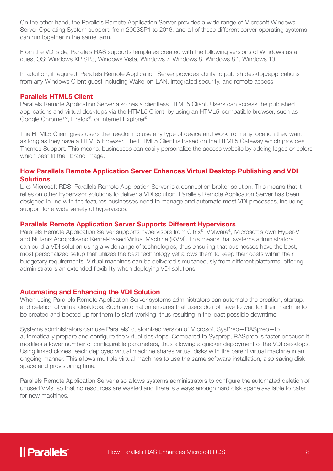On the other hand, the Parallels Remote Application Server provides a wide range of Microsoft Windows Server Operating System support: from 2003SP1 to 2016, and all of these different server operating systems can run together in the same farm.

From the VDI side, Parallels RAS supports templates created with the following versions of Windows as a guest OS: Windows XP SP3, Windows Vista, Windows 7, Windows 8, Windows 8.1, Windows 10.

In addition, if required, Parallels Remote Application Server provides ability to publish desktop/applications from any Windows Client guest including Wake-on-LAN, integrated security, and remote access.

#### Parallels HTML5 Client

Parallels Remote Application Server also has a clientless HTML5 Client. Users can access the published applications and virtual desktops via the HTML5 Client by using an HTML5-compatible browser, such as Google Chrome™, Firefox®, or Internet Explorer®.

The HTML5 Client gives users the freedom to use any type of device and work from any location they want as long as they have a HTML5 browser. The HTML5 Client is based on the HTML5 Gateway which provides Themes Support. This means, businesses can easily personalize the access website by adding logos or colors which best fit their brand image.

#### How Parallels Remote Application Server Enhances Virtual Desktop Publishing and VDI **Solutions**

Like Microsoft RDS, Parallels Remote Application Server is a connection broker solution. This means that it relies on other hypervisor solutions to deliver a VDI solution. Parallels Remote Application Server has been designed in line with the features businesses need to manage and automate most VDI processes, including support for a wide variety of hypervisors.

#### Parallels Remote Application Server Supports Different Hypervisors

Parallels Remote Application Server supports hypervisors from Citrix®, VMware®, Microsoft's own Hyper-V and Nutanix Acropolisand Kernel-based Virtual Machine (KVM). This means that systems administrators can build a VDI solution using a wide range of technologies, thus ensuring that businesses have the best, most personalized setup that utilizes the best technology yet allows them to keep their costs within their budgetary requirements. Virtual machines can be delivered simultaneously from different platforms, offering administrators an extended flexibility when deploying VDI solutions.

#### Automating and Enhancing the VDI Solution

When using Parallels Remote Application Server systems administrators can automate the creation, startup, and deletion of virtual desktops. Such automation ensures that users do not have to wait for their machine to be created and booted up for them to start working, thus resulting in the least possible downtime.

Systems administrators can use Parallels' customized version of Microsoft SysPrep—RASprep—to automatically prepare and configure the virtual desktops. Compared to Sysprep, RASprep is faster because it modifies a lower number of configurable parameters, thus allowing a quicker deployment of the VDI desktops. Using linked clones, each deployed virtual machine shares virtual disks with the parent virtual machine in an ongoing manner. This allows multiple virtual machines to use the same software installation, also saving disk space and provisioning time.

Parallels Remote Application Server also allows systems administrators to configure the automated deletion of unused VMs, so that no resources are wasted and there is always enough hard disk space available to cater for new machines.

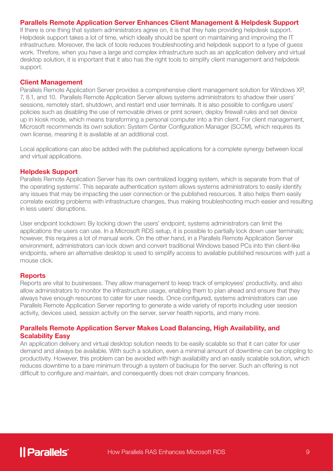#### Parallels Remote Application Server Enhances Client Management & Helpdesk Support

If there is one thing that system administrators agree on, it is that they hate providing helpdesk support. Helpdesk support takes a lot of time, which ideally should be spent on maintaining and improving the IT infrastructure. Moreover, the lack of tools reduces troubleshooting and helpdesk support to a type of guess work. Threfore, when you have a large and complex infrastructure such as an application delivery and virtual desktop solution, it is important that it also has the right tools to simplify client management and helpdesk support.

#### Client Management

Parallels Remote Application Server provides a comprehensive client management solution for Windows XP, 7, 8.1, and 10. Parallels Remote Application Server allows systems administrators to shadow their users' sessions, remotely start, shutdown, and restart end user terminals. It is also possible to configure users' policies such as disabling the use of removable drives or print screen, deploy firewall rules and set device up in kiosk mode, which means transforming a personal computer into a thin client. For client management, Microsoft recommends its own solution: System Center Configuration Manager (SCCM), which requires its own license, meaning it is available at an additional cost.

Local applications can also be added with the published applications for a complete synergy between local and virtual applications.

#### Helpdesk Support

Parallels Remote Application Server has its own centralized logging system, which is separate from that of the operating systems'. This separate authentication system allows systems administrators to easily identify any issues that may be impacting the user connection or the published resources. It also helps them easily correlate existing problems with infrastructure changes, thus making troubleshooting much easier and resulting in less users' disruptions.

User endpoint lockdown: By locking down the users' endpoint, systems administrators can limit the applications the users can use. In a Microsoft RDS setup, it is possible to partially lock down user terminals; however, this requires a lot of manual work. On the other hand, in a Parallels Remote Application Server environment, administrators can lock down and convert traditional Windows based PCs into thin client-like endpoints, where an alternative desktop is used to simplify access to available published resources with just a mouse click.

#### **Reports**

Reports are vital to businesses. They allow management to keep track of employees' productivity, and also allow administrators to monitor the infrastructure usage, enabling them to plan ahead and ensure that they always have enough resources to cater for user needs. Once configured, systems administrators can use Parallels Remote Application Server reporting to generate a wide variety of reports including user session activity, devices used, session activity on the server, server health reports, and many more.

#### Parallels Remote Application Server Makes Load Balancing, High Availability, and Scalability Easy

An application delivery and virtual desktop solution needs to be easily scalable so that it can cater for user demand and always be available. With such a solution, even a minimal amount of downtime can be crippling to productivity. However, this problem can be avoided with high availability and an easily scalable solution, which reduces downtime to a bare minimum through a system of backups for the server. Such an offering is not difficult to configure and maintain, and consequently does not drain company finances.

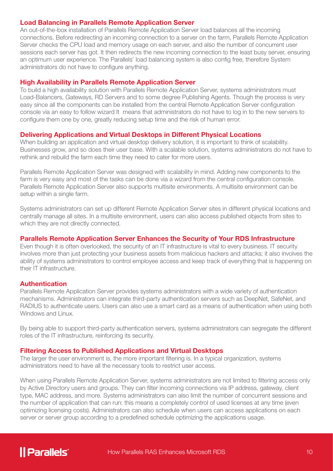#### Load Balancing in Parallels Remote Application Server

An out-of-the-box installation of Parallels Remote Application Server load balances all the incoming connections. Before redirecting an incoming connection to a server on the farm, Parallels Remote Application Server checks the CPU load and memory usage on each server, and also the number of concurrent user sessions each server has got. It then redirects the new incoming connection to the least busy server, ensuring an optimum user experience. The Parallels' load balancing system is also config free, therefore System administrators do not have to configure anything.

#### High Availability in Parallels Remote Application Server

To build a high availability solution with Parallels Remote Application Server, systems administrators must Load-Balancers, Gateways, RD Servers and to some degree Publishing Agents. Though the process is very easy since all the components can be installed from the central Remote Application Server configuration console via an easy to follow wizard It means that administrators do not have to log in to the new servers to configure them one by one, greatly reducing setup time and the risk of human error.

#### Delivering Applications and Virtual Desktops in Different Physical Locations

When building an application and virtual desktop delivery solution, it is important to think of scalability. Businesses grow, and so does their user base. With a scalable solution, systems administrators do not have to rethink and rebuild the farm each time they need to cater for more users.

Parallels Remote Application Server was designed with scalability in mind. Adding new components to the farm is very easy and most of the tasks can be done via a wizard from the central configuration console. Parallels Remote Application Server also supports multisite environments. A multisite environment can be setup within a single farm.

Systems administrators can set up different Remote Application Server sites in different physical locations and centrally manage all sites. In a multisite environment, users can also access published objects from sites to which they are not directly connected.

#### Parallels Remote Application Server Enhances the Security of Your RDS Infrastructure

Even though it is often overlooked, the security of an IT infrastructure is vital to every business. IT security involves more than just protecting your business assets from malicious hackers and attacks; it also involves the ability of systems administrators to control employee access and keep track of everything that is happening on their IT infrastructure.

#### Authentication

Parallels Remote Application Server provides systems administrators with a wide variety of authentication mechanisms. Administrators can integrate third-party authentication servers such as DeepNet, SafeNet, and RADIUS to authenticate users. Users can also use a smart card as a means of authentication when using both Windows and Linux.

By being able to support third-party authentication servers, systems administrators can segregate the different roles of the IT infrastructure, reinforcing its security.

#### Filtering Access to Published Applications and Virtual Desktops

The larger the user environment is, the more important filtering is. In a typical organization, systems administrators need to have all the necessary tools to restrict user access.

When using Parallels Remote Application Server, systems administrators are not limited to filtering access only by Active Directory users and groups. They can filter incoming connections via IP address, gateway, client type, MAC address, and more. Systems administrators can also limit the number of concurrent sessions and the number of application that can run: this means a completely control of used licenses at any time (even optimizing licensing costs). Administrators can also schedule when users can access applications on each server or server group according to a predefined schedule optimizing the applications usage.